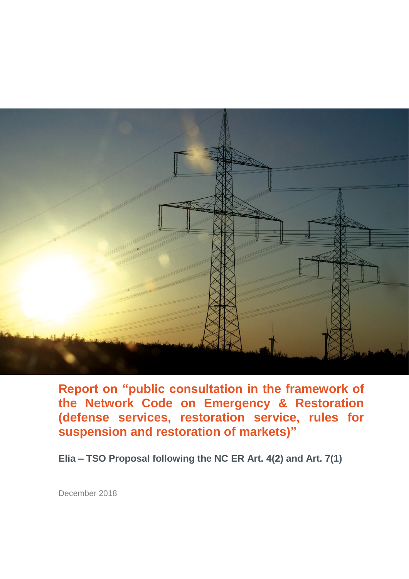

**Report on "public consultation in the framework of the Network Code on Emergency & Restoration (defense services, restoration service, rules for suspension and restoration of markets)"**

**Elia – TSO Proposal following the NC ER Art. 4(2) and Art. 7(1)**

December 2018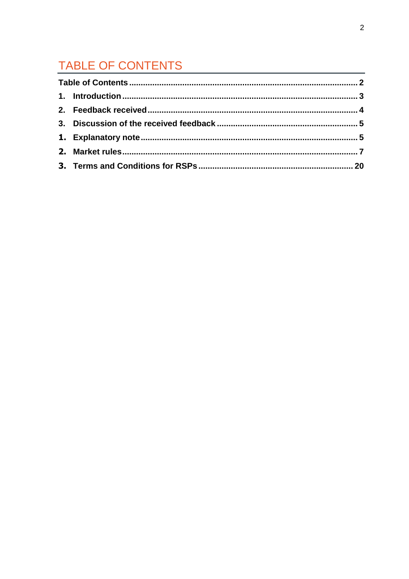# TABLE OF CONTENTS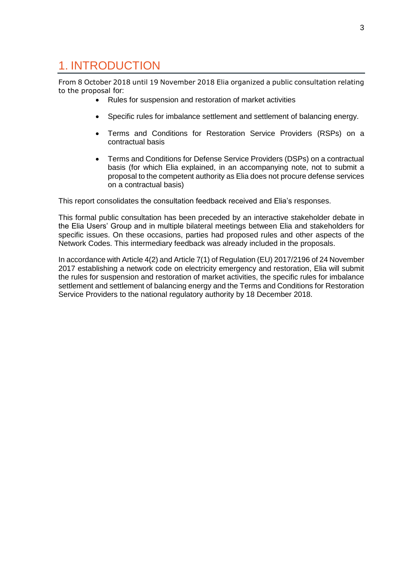### 1. INTRODUCTION

From 8 October 2018 until 19 November 2018 Elia organized a public consultation relating to the proposal for:

- Rules for suspension and restoration of market activities
- Specific rules for imbalance settlement and settlement of balancing energy.
- Terms and Conditions for Restoration Service Providers (RSPs) on a contractual basis
- Terms and Conditions for Defense Service Providers (DSPs) on a contractual basis (for which Elia explained, in an accompanying note, not to submit a proposal to the competent authority as Elia does not procure defense services on a contractual basis)

This report consolidates the consultation feedback received and Elia's responses.

This formal public consultation has been preceded by an interactive stakeholder debate in the Elia Users' Group and in multiple bilateral meetings between Elia and stakeholders for specific issues. On these occasions, parties had proposed rules and other aspects of the Network Codes. This intermediary feedback was already included in the proposals.

In accordance with Article 4(2) and Article 7(1) of Regulation (EU) 2017/2196 of 24 November 2017 establishing a network code on electricity emergency and restoration, Elia will submit the rules for suspension and restoration of market activities, the specific rules for imbalance settlement and settlement of balancing energy and the Terms and Conditions for Restoration Service Providers to the national regulatory authority by 18 December 2018.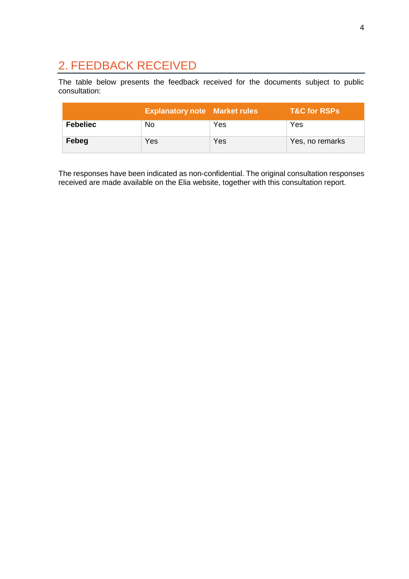### 2. FEEDBACK RECEIVED

The table below presents the feedback received for the documents subject to public consultation:

|                 | <b>Explanatory note Market rules</b> |     | T&C for RSPs    |
|-----------------|--------------------------------------|-----|-----------------|
| <b>Febeliec</b> | No.                                  | Yes | Yes             |
| Febeg           | Yes                                  | Yes | Yes, no remarks |

The responses have been indicated as non-confidential. The original consultation responses received are made available on the Elia website, together with this consultation report.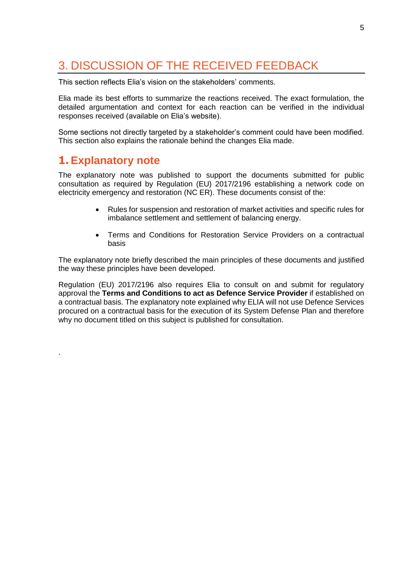## 3. DISCUSSION OF THE RECEIVED FEEDBACK

This section reflects Elia's vision on the stakeholders' comments.

Elia made its best efforts to summarize the reactions received. The exact formulation, the detailed argumentation and context for each reaction can be verified in the individual responses received (available on Elia's website).

Some sections not directly targeted by a stakeholder's comment could have been modified. This section also explains the rationale behind the changes Elia made.

#### **1. Explanatory note**

.

The explanatory note was published to support the documents submitted for public consultation as required by Regulation (EU) 2017/2196 establishing a network code on electricity emergency and restoration (NC ER). These documents consist of the:

- Rules for suspension and restoration of market activities and specific rules for imbalance settlement and settlement of balancing energy.
- Terms and Conditions for Restoration Service Providers on a contractual basis

The explanatory note briefly described the main principles of these documents and justified the way these principles have been developed.

Regulation (EU) 2017/2196 also requires Elia to consult on and submit for regulatory approval the **Terms and Conditions to act as Defence Service Provider** if established on a contractual basis. The explanatory note explained why ELIA will not use Defence Services procured on a contractual basis for the execution of its System Defense Plan and therefore why no document titled on this subject is published for consultation.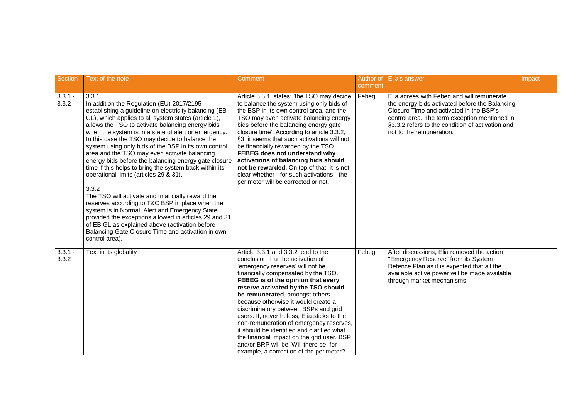| <b>Section</b>     | Text of the note                                                                                                                                                                                                                                                                                                                                                                                                                                                                                                                                                                                                                                                                                                                                                                                                                                                                                                                                           | Comment                                                                                                                                                                                                                                                                                                                                                                                                                                                                                                                                                                                                                      | Author of<br>comment | <b>Elia's answer</b>                                                                                                                                                                                                                                                     | Impact |
|--------------------|------------------------------------------------------------------------------------------------------------------------------------------------------------------------------------------------------------------------------------------------------------------------------------------------------------------------------------------------------------------------------------------------------------------------------------------------------------------------------------------------------------------------------------------------------------------------------------------------------------------------------------------------------------------------------------------------------------------------------------------------------------------------------------------------------------------------------------------------------------------------------------------------------------------------------------------------------------|------------------------------------------------------------------------------------------------------------------------------------------------------------------------------------------------------------------------------------------------------------------------------------------------------------------------------------------------------------------------------------------------------------------------------------------------------------------------------------------------------------------------------------------------------------------------------------------------------------------------------|----------------------|--------------------------------------------------------------------------------------------------------------------------------------------------------------------------------------------------------------------------------------------------------------------------|--------|
| $3.3.1 -$<br>3.3.2 | 3.3.1<br>In addition the Regulation (EU) 2017/2195<br>establishing a guideline on electricity balancing (EB<br>GL), which applies to all system states (article 1),<br>allows the TSO to activate balancing energy bids<br>when the system is in a state of alert or emergency.<br>In this case the TSO may decide to balance the<br>system using only bids of the BSP in its own control<br>area and the TSO may even activate balancing<br>energy bids before the balancing energy gate closure<br>time if this helps to bring the system back within its<br>operational limits (articles 29 & 31).<br>3.3.2<br>The TSO will activate and financially reward the<br>reserves according to T&C BSP in place when the<br>system is in Normal, Alert and Emergency State,<br>provided the exceptions allowed in articles 29 and 31<br>of EB GL as explained above (activation before<br>Balancing Gate Closure Time and activation in own<br>control area). | Article 3.3.1. states: 'the TSO may decide<br>to balance the system using only bids of<br>the BSP in its own control area, and the<br>TSO may even activate balancing energy<br>bids before the balancing energy gate<br>closure time'. According to article 3.3.2,<br>§3, it seems that such activations will not<br>be financially rewarded by the TSO.<br>FEBEG does not understand why<br>activations of balancing bids should<br>not be rewarded. On top of that, it is not<br>clear whether - for such activations - the<br>perimeter will be corrected or not.                                                        | Febeg                | Elia agrees with Febeg and will remunerate<br>the energy bids activated before the Balancing<br>Closure Time and activated in the BSP's<br>control area. The term exception mentioned in<br>§3.3.2 refers to the condition of activation and<br>not to the remuneration. |        |
| $3.3.1 -$<br>3.3.2 | Text in its globality                                                                                                                                                                                                                                                                                                                                                                                                                                                                                                                                                                                                                                                                                                                                                                                                                                                                                                                                      | Article 3.3.1 and 3.3.2 lead to the<br>conclusion that the activation of<br>'emergency reserves' will not be<br>financially compensated by the TSO.<br>FEBEG is of the opinion that every<br>reserve activated by the TSO should<br>be remunerated, amongst others<br>because otherwise it would create a<br>discriminatory between BSPs and grid<br>users. If, nevertheless, Elia sticks to the<br>non-remuneration of emergency reserves,<br>it should be identified and clarified what<br>the financial impact on the grid user, BSP<br>and/or BRP will be. Will there be, for<br>example, a correction of the perimeter? | Febeg                | After discussions, Elia removed the action<br>"Emergency Reserve" from its System<br>Defence Plan as it is expected that all the<br>available active power will be made available<br>through market mechanisms.                                                          |        |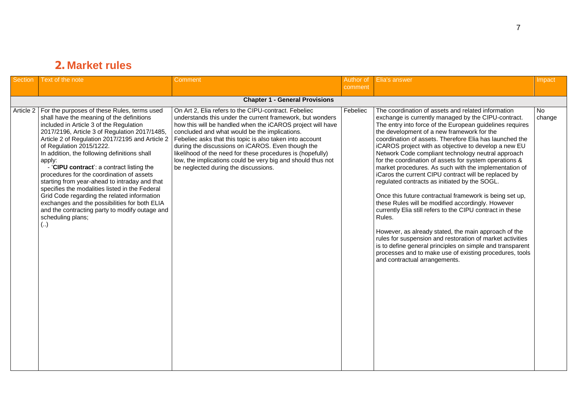### **2. Market rules**

| Section | Text of the note                                                                                                                                                                                                                                                                                                                                                                                                                                                                                                                                                                                                                                                                                                     | Comment                                                                                                                                                                                                                                                                                                                                                                                                                                                                                                                | Author of<br>comment | Elia's answer                                                                                                                                                                                                                                                                                                                                                                                                                                                                                                                                                                                                                                                                                                                                                                                                                                                                                                                                                                                                                                                                                 | Impact       |  |  |  |
|---------|----------------------------------------------------------------------------------------------------------------------------------------------------------------------------------------------------------------------------------------------------------------------------------------------------------------------------------------------------------------------------------------------------------------------------------------------------------------------------------------------------------------------------------------------------------------------------------------------------------------------------------------------------------------------------------------------------------------------|------------------------------------------------------------------------------------------------------------------------------------------------------------------------------------------------------------------------------------------------------------------------------------------------------------------------------------------------------------------------------------------------------------------------------------------------------------------------------------------------------------------------|----------------------|-----------------------------------------------------------------------------------------------------------------------------------------------------------------------------------------------------------------------------------------------------------------------------------------------------------------------------------------------------------------------------------------------------------------------------------------------------------------------------------------------------------------------------------------------------------------------------------------------------------------------------------------------------------------------------------------------------------------------------------------------------------------------------------------------------------------------------------------------------------------------------------------------------------------------------------------------------------------------------------------------------------------------------------------------------------------------------------------------|--------------|--|--|--|
|         | <b>Chapter 1 - General Provisions</b>                                                                                                                                                                                                                                                                                                                                                                                                                                                                                                                                                                                                                                                                                |                                                                                                                                                                                                                                                                                                                                                                                                                                                                                                                        |                      |                                                                                                                                                                                                                                                                                                                                                                                                                                                                                                                                                                                                                                                                                                                                                                                                                                                                                                                                                                                                                                                                                               |              |  |  |  |
|         | Article 2   For the purposes of these Rules, terms used<br>shall have the meaning of the definitions<br>included in Article 3 of the Regulation<br>2017/2196, Article 3 of Regulation 2017/1485,<br>Article 2 of Regulation 2017/2195 and Article 2<br>of Regulation 2015/1222.<br>In addition, the following definitions shall<br>apply:<br>- 'CIPU contract': a contract listing the<br>procedures for the coordination of assets<br>starting from year-ahead to intraday and that<br>specifies the modalities listed in the Federal<br>Grid Code regarding the related information<br>exchanges and the possibilities for both ELIA<br>and the contracting party to modify outage and<br>scheduling plans;<br>(.) | On Art 2, Elia refers to the CIPU-contract. Febeliec<br>understands this under the current framework, but wonders<br>how this will be handled when the iCAROS project will have<br>concluded and what would be the implications.<br>Febeliec asks that this topic is also taken into account<br>during the discussions on iCAROS. Even though the<br>likelihood of the need for these procedures is (hopefully)<br>low, the implications could be very big and should thus not<br>be neglected during the discussions. | Febeliec             | The coordination of assets and related information<br>exchange is currently managed by the CIPU-contract.<br>The entry into force of the European guidelines requires<br>the development of a new framework for the<br>coordination of assets. Therefore Elia has launched the<br>iCAROS project with as objective to develop a new EU<br>Network Code compliant technology neutral approach<br>for the coordination of assets for system operations &<br>market procedures. As such with the implementation of<br>iCaros the current CIPU contract will be replaced by<br>regulated contracts as initiated by the SOGL.<br>Once this future contractual framework is being set up,<br>these Rules will be modified accordingly. However<br>currently Elia still refers to the CIPU contract in these<br>Rules.<br>However, as already stated, the main approach of the<br>rules for suspension and restoration of market activities<br>is to define general principles on simple and transparent<br>processes and to make use of existing procedures, tools<br>and contractual arrangements. | No<br>change |  |  |  |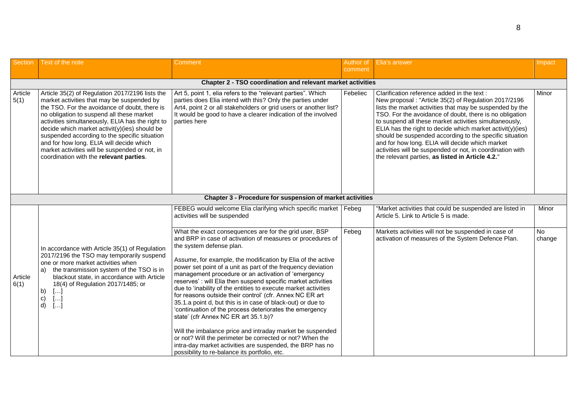| <b>Section</b>  | Text of the note                                                                                                                                                                                                                                                                                                                                                                                                                                                                           | Comment                                                                                                                                                                                                                                                                                                                                                                                                                                                                                                                                                                                                                                                                                                                                                                                                                                                                                                                                       | Author of | Elia's answer                                                                                                                                                                                                                                                                                                                                                                                                                                                                                                                                                                     | Impact              |
|-----------------|--------------------------------------------------------------------------------------------------------------------------------------------------------------------------------------------------------------------------------------------------------------------------------------------------------------------------------------------------------------------------------------------------------------------------------------------------------------------------------------------|-----------------------------------------------------------------------------------------------------------------------------------------------------------------------------------------------------------------------------------------------------------------------------------------------------------------------------------------------------------------------------------------------------------------------------------------------------------------------------------------------------------------------------------------------------------------------------------------------------------------------------------------------------------------------------------------------------------------------------------------------------------------------------------------------------------------------------------------------------------------------------------------------------------------------------------------------|-----------|-----------------------------------------------------------------------------------------------------------------------------------------------------------------------------------------------------------------------------------------------------------------------------------------------------------------------------------------------------------------------------------------------------------------------------------------------------------------------------------------------------------------------------------------------------------------------------------|---------------------|
|                 |                                                                                                                                                                                                                                                                                                                                                                                                                                                                                            |                                                                                                                                                                                                                                                                                                                                                                                                                                                                                                                                                                                                                                                                                                                                                                                                                                                                                                                                               | comment   |                                                                                                                                                                                                                                                                                                                                                                                                                                                                                                                                                                                   |                     |
|                 |                                                                                                                                                                                                                                                                                                                                                                                                                                                                                            | Chapter 2 - TSO coordination and relevant market activities                                                                                                                                                                                                                                                                                                                                                                                                                                                                                                                                                                                                                                                                                                                                                                                                                                                                                   |           |                                                                                                                                                                                                                                                                                                                                                                                                                                                                                                                                                                                   |                     |
| Article<br>5(1) | Article 35(2) of Regulation 2017/2196 lists the<br>market activities that may be suspended by<br>the TSO. For the avoidance of doubt, there is<br>no obligation to suspend all these market<br>activities simultaneously, ELIA has the right to<br>decide which market activit(y)(ies) should be<br>suspended according to the specific situation<br>and for how long. ELIA will decide which<br>market activities will be suspended or not, in<br>coordination with the relevant parties. | Art 5, point 1, elia refers to the "relevant parties". Which<br>parties does Elia intend with this? Only the parties under<br>Art4, point 2 or all stakeholders or grid users or another list?<br>It would be good to have a clearer indication of the involved<br>parties here                                                                                                                                                                                                                                                                                                                                                                                                                                                                                                                                                                                                                                                               | Febeliec  | Clarification reference added in the text:<br>New proposal : "Article 35(2) of Regulation 2017/2196<br>lists the market activities that may be suspended by the<br>TSO. For the avoidance of doubt, there is no obligation<br>to suspend all these market activities simultaneously,<br>ELIA has the right to decide which market $activity)(ies)$<br>should be suspended according to the specific situation<br>and for how long. ELIA will decide which market<br>activities will be suspended or not, in coordination with<br>the relevant parties, as listed in Article 4.2." | Minor               |
|                 |                                                                                                                                                                                                                                                                                                                                                                                                                                                                                            | Chapter 3 - Procedure for suspension of market activities                                                                                                                                                                                                                                                                                                                                                                                                                                                                                                                                                                                                                                                                                                                                                                                                                                                                                     |           |                                                                                                                                                                                                                                                                                                                                                                                                                                                                                                                                                                                   |                     |
|                 |                                                                                                                                                                                                                                                                                                                                                                                                                                                                                            | FEBEG would welcome Elia clarifying which specific market   Febeg<br>activities will be suspended                                                                                                                                                                                                                                                                                                                                                                                                                                                                                                                                                                                                                                                                                                                                                                                                                                             |           | "Market activities that could be suspended are listed in<br>Article 5. Link to Article 5 is made.                                                                                                                                                                                                                                                                                                                                                                                                                                                                                 | Minor               |
| Article<br>6(1) | In accordance with Article 35(1) of Regulation<br>2017/2196 the TSO may temporarily suspend<br>one or more market activities when<br>the transmission system of the TSO is in<br>a)<br>blackout state, in accordance with Article<br>18(4) of Regulation 2017/1485; or<br>b)<br>$[\ldots]$<br>c)<br>$\left[\ldots\right]$<br>[]<br>d)                                                                                                                                                      | What the exact consequences are for the grid user, BSP<br>and BRP in case of activation of measures or procedures of<br>the system defense plan.<br>Assume, for example, the modification by Elia of the active<br>power set point of a unit as part of the frequency deviation<br>management procedure or an activation of 'emergency<br>reserves': will Elia then suspend specific market activities<br>due to 'inability of the entities to execute market activities<br>for reasons outside their control' (cfr. Annex NC ER art<br>35.1.a point d, but this is in case of black-out) or due to<br>'continuation of the process deteriorates the emergency<br>state' (cfr Annex NC ER art 35.1.b)?<br>Will the imbalance price and intraday market be suspended<br>or not? Will the perimeter be corrected or not? When the<br>intra-day market activities are suspended, the BRP has no<br>possibility to re-balance its portfolio, etc. | Febeg     | Markets activities will not be suspended in case of<br>activation of measures of the System Defence Plan.                                                                                                                                                                                                                                                                                                                                                                                                                                                                         | <b>No</b><br>change |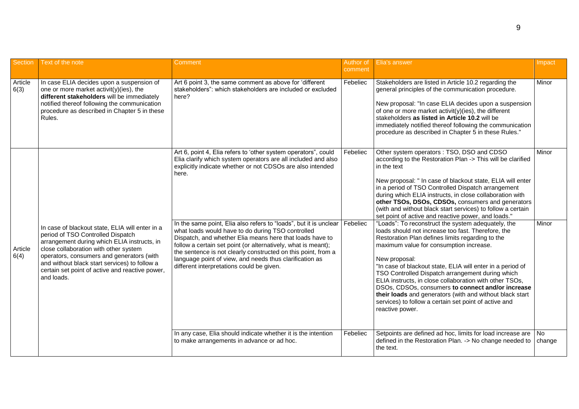| <b>Section</b>  | Text of the note                                                                                                                                                                                                                                                                                                                            | Comment                                                                                                                                                                                                                                                                                                                                                                                                                                                                                                                                                                                                                                | Author of<br>comment | Elia's answer                                                                                                                                                                                                                                                                                                                                                                                                                                                                                                                                                                                                                                                                                                                                                                                                                                                                                                                                                                                                                                                                             | Impact         |
|-----------------|---------------------------------------------------------------------------------------------------------------------------------------------------------------------------------------------------------------------------------------------------------------------------------------------------------------------------------------------|----------------------------------------------------------------------------------------------------------------------------------------------------------------------------------------------------------------------------------------------------------------------------------------------------------------------------------------------------------------------------------------------------------------------------------------------------------------------------------------------------------------------------------------------------------------------------------------------------------------------------------------|----------------------|-------------------------------------------------------------------------------------------------------------------------------------------------------------------------------------------------------------------------------------------------------------------------------------------------------------------------------------------------------------------------------------------------------------------------------------------------------------------------------------------------------------------------------------------------------------------------------------------------------------------------------------------------------------------------------------------------------------------------------------------------------------------------------------------------------------------------------------------------------------------------------------------------------------------------------------------------------------------------------------------------------------------------------------------------------------------------------------------|----------------|
| Article<br>6(3) | In case ELIA decides upon a suspension of<br>one or more market activit(y)(ies), the<br>different stakeholders will be immediately<br>notified thereof following the communication<br>procedure as described in Chapter 5 in these<br>Rules.                                                                                                | Art 6 point 3, the same comment as above for 'different<br>stakeholders": which stakeholders are included or excluded<br>here?                                                                                                                                                                                                                                                                                                                                                                                                                                                                                                         | Febeliec             | Stakeholders are listed in Article 10.2 regarding the<br>general principles of the communication procedure.<br>New proposal: "In case ELIA decides upon a suspension<br>of one or more market activit(y)(ies), the different<br>stakeholders as listed in Article 10.2 will be<br>immediately notified thereof following the communication<br>procedure as described in Chapter 5 in these Rules."                                                                                                                                                                                                                                                                                                                                                                                                                                                                                                                                                                                                                                                                                        | Minor          |
| Article<br>6(4) | In case of blackout state, ELIA will enter in a<br>period of TSO Controlled Dispatch<br>arrangement during which ELIA instructs, in<br>close collaboration with other system<br>operators, consumers and generators (with<br>and without black start services) to follow a<br>certain set point of active and reactive power,<br>and loads. | Art 6, point 4, Elia refers to 'other system operators", could<br>Elia clarify which system operators are all included and also<br>explicitly indicate whether or not CDSOs are also intended<br>here.<br>In the same point, Elia also refers to "loads", but it is unclear<br>what loads would have to do during TSO controlled<br>Dispatch, and whether Elia means here that loads have to<br>follow a certain set point (or alternatively, what is meant);<br>the sentence is not clearly constructed on this point, from a<br>language point of view, and needs thus clarification as<br>different interpretations could be given. | Febeliec<br>Febeliec | Other system operators : TSO, DSO and CDSO<br>according to the Restoration Plan -> This will be clarified<br>in the text<br>New proposal: " In case of blackout state, ELIA will enter<br>in a period of TSO Controlled Dispatch arrangement<br>during which ELIA instructs, in close collaboration with<br>other TSOs, DSOs, CDSOs, consumers and generators<br>(with and without black start services) to follow a certain<br>set point of active and reactive power, and loads."<br>"Loads": To reconstruct the system adequately, the<br>loads should not increase too fast. Therefore, the<br>Restoration Plan defines limits regarding to the<br>maximum value for consumption increase.<br>New proposal:<br>"In case of blackout state, ELIA will enter in a period of<br>TSO Controlled Dispatch arrangement during which<br>ELIA instructs, in close collaboration with other TSOs,<br>DSOs, CDSOs, consumers to connect and/or increase<br>their loads and generators (with and without black start<br>services) to follow a certain set point of active and<br>reactive power. | Minor<br>Minor |
|                 |                                                                                                                                                                                                                                                                                                                                             | In any case, Elia should indicate whether it is the intention<br>to make arrangements in advance or ad hoc.                                                                                                                                                                                                                                                                                                                                                                                                                                                                                                                            | Febeliec             | Setpoints are defined ad hoc, limits for load increase are   No<br>defined in the Restoration Plan. -> No change needed to<br>the text.                                                                                                                                                                                                                                                                                                                                                                                                                                                                                                                                                                                                                                                                                                                                                                                                                                                                                                                                                   | change         |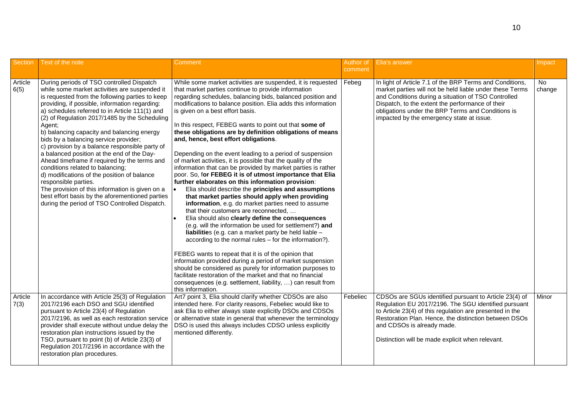| <b>Section</b>  | Text of the note                                                                                                                                                                                                                                                                                                                                                                                                                                                                                                                                                                                                                                                                                                                                                                                                      | Comment                                                                                                                                                                                                                                                                                                                                                                                                                                                                                                                                                                                                                                                                                                                                                                                                                                                                                                                                                                                                                                                                                                                                                                                                                                                                                                                                                                                        | Author of<br>comment | <b>Elia's answer</b>                                                                                                                                                                                                                                                                                                              | Impact       |
|-----------------|-----------------------------------------------------------------------------------------------------------------------------------------------------------------------------------------------------------------------------------------------------------------------------------------------------------------------------------------------------------------------------------------------------------------------------------------------------------------------------------------------------------------------------------------------------------------------------------------------------------------------------------------------------------------------------------------------------------------------------------------------------------------------------------------------------------------------|------------------------------------------------------------------------------------------------------------------------------------------------------------------------------------------------------------------------------------------------------------------------------------------------------------------------------------------------------------------------------------------------------------------------------------------------------------------------------------------------------------------------------------------------------------------------------------------------------------------------------------------------------------------------------------------------------------------------------------------------------------------------------------------------------------------------------------------------------------------------------------------------------------------------------------------------------------------------------------------------------------------------------------------------------------------------------------------------------------------------------------------------------------------------------------------------------------------------------------------------------------------------------------------------------------------------------------------------------------------------------------------------|----------------------|-----------------------------------------------------------------------------------------------------------------------------------------------------------------------------------------------------------------------------------------------------------------------------------------------------------------------------------|--------------|
| Article<br>6(5) | During periods of TSO controlled Dispatch<br>while some market activities are suspended it<br>is requested from the following parties to keep<br>providing, if possible, information regarding:<br>a) schedules referred to in Article 111(1) and<br>(2) of Regulation 2017/1485 by the Scheduling<br>Agent;<br>b) balancing capacity and balancing energy<br>bids by a balancing service provider;<br>c) provision by a balance responsible party of<br>a balanced position at the end of the Day-<br>Ahead timeframe if required by the terms and<br>conditions related to balancing;<br>d) modifications of the position of balance<br>responsible parties.<br>The provision of this information is given on a<br>best effort basis by the aforementioned parties<br>during the period of TSO Controlled Dispatch. | While some market activities are suspended, it is requested<br>that market parties continue to provide information<br>regarding schedules, balancing bids, balanced position and<br>modifications to balance position. Elia adds this information<br>is given on a best effort basis.<br>In this respect, FEBEG wants to point out that some of<br>these obligations are by definition obligations of means<br>and, hence, best effort obligations.<br>Depending on the event leading to a period of suspension<br>of market activities, it is possible that the quality of the<br>information that can be provided by market parties is rather<br>poor. So, for FEBEG it is of utmost importance that Elia<br>further elaborates on this information provision:<br>Elia should describe the principles and assumptions<br>that market parties should apply when providing<br>information, e.g. do market parties need to assume<br>that their customers are reconnected,<br>Elia should also clearly define the consequences<br>(e.g. will the information be used for settlement?) and<br>liabilities (e.g. can a market party be held liable -<br>according to the normal rules - for the information?).<br>FEBEG wants to repeat that it is of the opinion that<br>information provided during a period of market suspension<br>should be considered as purely for information purposes to | Febeg                | In light of Article 7.1 of the BRP Terms and Conditions,<br>market parties will not be held liable under these Terms<br>and Conditions during a situation of TSO Controlled<br>Dispatch, to the extent the performance of their<br>obligations under the BRP Terms and Conditions is<br>impacted by the emergency state at issue. | No<br>change |
|                 |                                                                                                                                                                                                                                                                                                                                                                                                                                                                                                                                                                                                                                                                                                                                                                                                                       | facilitate restoration of the market and that no financial<br>consequences (e.g. settlement, liability, ) can result from<br>this information.                                                                                                                                                                                                                                                                                                                                                                                                                                                                                                                                                                                                                                                                                                                                                                                                                                                                                                                                                                                                                                                                                                                                                                                                                                                 |                      |                                                                                                                                                                                                                                                                                                                                   |              |
| Article<br>7(3) | In accordance with Article 25(3) of Regulation<br>2017/2196 each DSO and SGU identified<br>pursuant to Article 23(4) of Regulation<br>2017/2196, as well as each restoration service<br>provider shall execute without undue delay the<br>restoration plan instructions issued by the<br>TSO, pursuant to point (b) of Article 23(3) of<br>Regulation 2017/2196 in accordance with the<br>restoration plan procedures.                                                                                                                                                                                                                                                                                                                                                                                                | Art7 point 3, Elia should clarify whether CDSOs are also<br>intended here. For clarity reasons, Febeliec would like to<br>ask Elia to either always state explicitly DSOs and CDSOs<br>or alternative state in general that whenever the terminology<br>DSO is used this always includes CDSO unless explicitly<br>mentioned differently.                                                                                                                                                                                                                                                                                                                                                                                                                                                                                                                                                                                                                                                                                                                                                                                                                                                                                                                                                                                                                                                      | Febeliec             | CDSOs are SGUs identified pursuant to Article 23(4) of<br>Regulation EU 2017/2196. The SGU identified pursuant<br>to Article 23(4) of this regulation are presented in the<br>Restoration Plan. Hence, the distinction between DSOs<br>and CDSOs is already made.<br>Distinction will be made explicit when relevant.             | Minor        |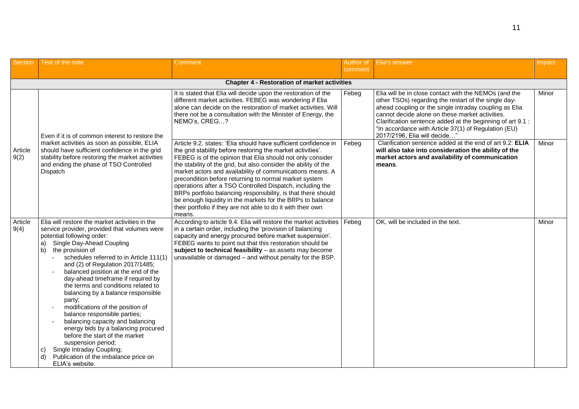| Section         | Text of the note                                                                                                                                                                                                                                                                                                                                                                                                                                                                                                                                                                                                                                                                                                                                         | Comment                                                                                                                                                                                                                                                                                                                                                                                                                                                                                                                                                                                                                                                     | Author of | Elia's answer                                                                                                                                                                                                                                                                                                                                                                    | Impact |
|-----------------|----------------------------------------------------------------------------------------------------------------------------------------------------------------------------------------------------------------------------------------------------------------------------------------------------------------------------------------------------------------------------------------------------------------------------------------------------------------------------------------------------------------------------------------------------------------------------------------------------------------------------------------------------------------------------------------------------------------------------------------------------------|-------------------------------------------------------------------------------------------------------------------------------------------------------------------------------------------------------------------------------------------------------------------------------------------------------------------------------------------------------------------------------------------------------------------------------------------------------------------------------------------------------------------------------------------------------------------------------------------------------------------------------------------------------------|-----------|----------------------------------------------------------------------------------------------------------------------------------------------------------------------------------------------------------------------------------------------------------------------------------------------------------------------------------------------------------------------------------|--------|
|                 |                                                                                                                                                                                                                                                                                                                                                                                                                                                                                                                                                                                                                                                                                                                                                          |                                                                                                                                                                                                                                                                                                                                                                                                                                                                                                                                                                                                                                                             | comment   |                                                                                                                                                                                                                                                                                                                                                                                  |        |
|                 |                                                                                                                                                                                                                                                                                                                                                                                                                                                                                                                                                                                                                                                                                                                                                          | <b>Chapter 4 - Restoration of market activities</b>                                                                                                                                                                                                                                                                                                                                                                                                                                                                                                                                                                                                         |           |                                                                                                                                                                                                                                                                                                                                                                                  |        |
|                 | Even if it is of common interest to restore the                                                                                                                                                                                                                                                                                                                                                                                                                                                                                                                                                                                                                                                                                                          | It is stated that Elia will decide upon the restoration of the<br>different market activities. FEBEG was wondering if Elia<br>alone can decide on the restoration of market activities. Will<br>there not be a consultation with the Minister of Energy, the<br>NEMO's, CREG?                                                                                                                                                                                                                                                                                                                                                                               | Febeg     | Elia will be in close contact with the NEMOs (and the<br>other TSOs) regarding the restart of the single day-<br>ahead coupling or the single intraday coupling as Elia<br>cannot decide alone on these market activities.<br>Clarification sentence added at the beginning of art 9.1 :<br>"In accordance with Article 37(1) of Regulation (EU)<br>2017/2196, Elia will decide" | Minor  |
| Article<br>9(2) | market activities as soon as possible, ELIA<br>should have sufficient confidence in the grid<br>stability before restoring the market activities<br>and ending the phase of TSO Controlled<br>Dispatch                                                                                                                                                                                                                                                                                                                                                                                                                                                                                                                                                   | Article 9.2. states: 'Elia should have sufficient confidence in<br>the grid stability before restoring the market activities'.<br>FEBEG is of the opinion that Elia should not only consider<br>the stability of the grid, but also consider the ability of the<br>market actors and availability of communications means. A<br>precondition before returning to normal market system<br>operations after a TSO Controlled Dispatch, including the<br>BRPs portfolio balancing responsibility, is that there should<br>be enough liquidity in the markets for the BRPs to balance<br>their portfolio if they are not able to do it with their own<br>means. | Febeg     | Clarification sentence added at the end of art 9.2: ELIA<br>will also take into consideration the ability of the<br>market actors and availability of communication<br>means.                                                                                                                                                                                                    | Minor  |
| Article<br>9(4) | Elia will restore the market activities in the<br>service provider, provided that volumes were<br>potential following order:<br>Single Day-Ahead Coupling<br>a)<br>the provision of<br>b)<br>schedules referred to in Article 111(1)<br>and (2) of Regulation 2017/1485;<br>balanced position at the end of the<br>day-ahead timeframe if required by<br>the terms and conditions related to<br>balancing by a balance responsible<br>party;<br>modifications of the position of<br>balance responsible parties;<br>balancing capacity and balancing<br>energy bids by a balancing procured<br>before the start of the market<br>suspension period;<br>Single Intraday Coupling;<br>C)<br>Publication of the imbalance price on<br>d)<br>ELIA's website. | According to article 9.4. Elia will restore the market activities<br>in a certain order, including the 'provision of balancing<br>capacity and energy procured before market suspension'.<br>FEBEG wants to point out that this restoration should be<br>subject to technical feasibility - as assets may become<br>unavailable or damaged - and without penalty for the BSP.                                                                                                                                                                                                                                                                               | Febeg     | OK, will be included in the text.                                                                                                                                                                                                                                                                                                                                                | Minor  |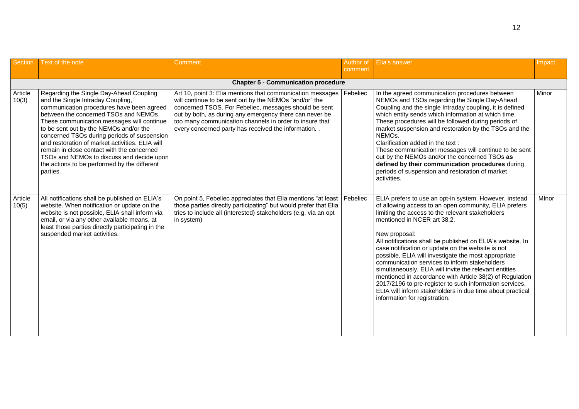| Section          | Text of the note                                                                                                                                                                                                                                                                                                                                                                                                                                                                                                    | Comment                                                                                                                                                                                                                                                                                                                                                   | Author of<br>comment | <b>Elia's answer</b>                                                                                                                                                                                                                                                                                                                                                                                                                                                                                                                                                                                                                                                                                                           | Impact |
|------------------|---------------------------------------------------------------------------------------------------------------------------------------------------------------------------------------------------------------------------------------------------------------------------------------------------------------------------------------------------------------------------------------------------------------------------------------------------------------------------------------------------------------------|-----------------------------------------------------------------------------------------------------------------------------------------------------------------------------------------------------------------------------------------------------------------------------------------------------------------------------------------------------------|----------------------|--------------------------------------------------------------------------------------------------------------------------------------------------------------------------------------------------------------------------------------------------------------------------------------------------------------------------------------------------------------------------------------------------------------------------------------------------------------------------------------------------------------------------------------------------------------------------------------------------------------------------------------------------------------------------------------------------------------------------------|--------|
|                  |                                                                                                                                                                                                                                                                                                                                                                                                                                                                                                                     | <b>Chapter 5 - Communication procedure</b>                                                                                                                                                                                                                                                                                                                |                      |                                                                                                                                                                                                                                                                                                                                                                                                                                                                                                                                                                                                                                                                                                                                |        |
| Article<br>10(3) | Regarding the Single Day-Ahead Coupling<br>and the Single Intraday Coupling,<br>communication procedures have been agreed<br>between the concerned TSOs and NEMOs.<br>These communication messages will continue<br>to be sent out by the NEMOs and/or the<br>concerned TSOs during periods of suspension<br>and restoration of market activities. ELIA will<br>remain in close contact with the concerned<br>TSOs and NEMOs to discuss and decide upon<br>the actions to be performed by the different<br>parties. | Art 10, point 3: Elia mentions that communication messages<br>will continue to be sent out by the NEMOs "and/or" the<br>concerned TSOS. For Febeliec, messages should be sent<br>out by both, as during any emergency there can never be<br>too many communication channels in order to insure that<br>every concerned party has received the information | Febeliec             | In the agreed communication procedures between<br>NEMOs and TSOs regarding the Single Day-Ahead<br>Coupling and the single Intraday coupling, it is defined<br>which entity sends which information at which time.<br>These procedures will be followed during periods of<br>market suspension and restoration by the TSOs and the<br>NEMOs.<br>Clarification added in the text:<br>These communication messages will continue to be sent<br>out by the NEMOs and/or the concerned TSOs as<br>defined by their communication procedures during<br>periods of suspension and restoration of market<br>activities.                                                                                                               | Minor  |
| Article<br>10(5) | All notifications shall be published on ELIA's<br>website. When notification or update on the<br>website is not possible, ELIA shall inform via<br>email, or via any other available means, at<br>least those parties directly participating in the<br>suspended market activities.                                                                                                                                                                                                                                 | On point 5, Febeliec appreciates that Elia mentions "at least   Febeliec<br>those parties directly participating" but would prefer that Elia<br>tries to include all (interested) stakeholders (e.g. via an opt<br>in system)                                                                                                                             |                      | ELIA prefers to use an opt-in system. However, instead<br>of allowing access to an open community, ELIA prefers<br>limiting the access to the relevant stakeholders<br>mentioned in NCER art 38.2.<br>New proposal:<br>All notifications shall be published on ELIA's website. In<br>case notification or update on the website is not<br>possible, ELIA will investigate the most appropriate<br>communication services to inform stakeholders<br>simultaneously. ELIA will invite the relevant entities<br>mentioned in accordance with Article 38(2) of Regulation<br>2017/2196 to pre-register to such information services.<br>ELIA will inform stakeholders in due time about practical<br>information for registration. | MInor  |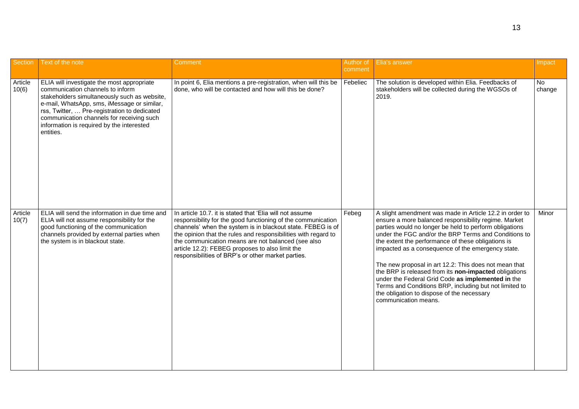| Section          | Text of the note                                                                                                                                                                                                                                                                                                                     | Comment                                                                                                                                                                                                                                                                                                                                                                                                                  | Author of<br>comment | Elia's answer                                                                                                                                                                                                                                                                                                                                                                                                                                                                                                                                                                                                                                       | Impact              |
|------------------|--------------------------------------------------------------------------------------------------------------------------------------------------------------------------------------------------------------------------------------------------------------------------------------------------------------------------------------|--------------------------------------------------------------------------------------------------------------------------------------------------------------------------------------------------------------------------------------------------------------------------------------------------------------------------------------------------------------------------------------------------------------------------|----------------------|-----------------------------------------------------------------------------------------------------------------------------------------------------------------------------------------------------------------------------------------------------------------------------------------------------------------------------------------------------------------------------------------------------------------------------------------------------------------------------------------------------------------------------------------------------------------------------------------------------------------------------------------------------|---------------------|
| Article<br>10(6) | ELIA will investigate the most appropriate<br>communication channels to inform<br>stakeholders simultaneously such as website,<br>e-mail, WhatsApp, sms, iMessage or similar,<br>rss, Twitter,  Pre-registration to dedicated<br>communication channels for receiving such<br>information is required by the interested<br>entities. | In point 6, Elia mentions a pre-registration, when will this be<br>done, who will be contacted and how will this be done?                                                                                                                                                                                                                                                                                                | Febeliec             | The solution is developed within Elia. Feedbacks of<br>stakeholders will be collected during the WGSOs of<br>2019.                                                                                                                                                                                                                                                                                                                                                                                                                                                                                                                                  | <b>No</b><br>change |
| Article<br>10(7) | ELIA will send the information in due time and<br>ELIA will not assume responsibility for the<br>good functioning of the communication<br>channels provided by external parties when<br>the system is in blackout state.                                                                                                             | In article 10.7. it is stated that 'Elia will not assume<br>responsibility for the good functioning of the communication<br>channels' when the system is in blackout state. FEBEG is of<br>the opinion that the rules and responsibilities with regard to<br>the communication means are not balanced (see also<br>article 12.2): FEBEG proposes to also limit the<br>responsibilities of BRP's or other market parties. | Febeg                | A slight amendment was made in Article 12.2 in order to<br>ensure a more balanced responsibility regime. Market<br>parties would no longer be held to perform obligations<br>under the FGC and/or the BRP Terms and Conditions to<br>the extent the performance of these obligations is<br>impacted as a consequence of the emergency state.<br>The new proposal in art 12.2: This does not mean that<br>the BRP is released from its non-impacted obligations<br>under the Federal Grid Code as implemented in the<br>Terms and Conditions BRP, including but not limited to<br>the obligation to dispose of the necessary<br>communication means. | Minor               |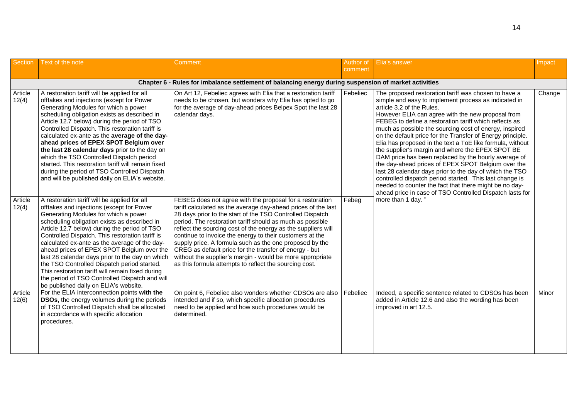| Section          | Text of the note                                                                                                                                                                                                                                                                                                                                                                                                                                                                                                                                                                                                                     | Comment                                                                                                                                                                                                                                                                                                                                                                                                                                                                                                                                                                                                                      | Author of<br>comment | Elia's answer                                                                                                                                                                                                                                                                                                                                                                                                                                                                                                                                                                                                                                                                                                                                                                                                                                               | Impact |
|------------------|--------------------------------------------------------------------------------------------------------------------------------------------------------------------------------------------------------------------------------------------------------------------------------------------------------------------------------------------------------------------------------------------------------------------------------------------------------------------------------------------------------------------------------------------------------------------------------------------------------------------------------------|------------------------------------------------------------------------------------------------------------------------------------------------------------------------------------------------------------------------------------------------------------------------------------------------------------------------------------------------------------------------------------------------------------------------------------------------------------------------------------------------------------------------------------------------------------------------------------------------------------------------------|----------------------|-------------------------------------------------------------------------------------------------------------------------------------------------------------------------------------------------------------------------------------------------------------------------------------------------------------------------------------------------------------------------------------------------------------------------------------------------------------------------------------------------------------------------------------------------------------------------------------------------------------------------------------------------------------------------------------------------------------------------------------------------------------------------------------------------------------------------------------------------------------|--------|
|                  |                                                                                                                                                                                                                                                                                                                                                                                                                                                                                                                                                                                                                                      | Chapter 6 - Rules for imbalance settlement of balancing energy during suspension of market activities                                                                                                                                                                                                                                                                                                                                                                                                                                                                                                                        |                      |                                                                                                                                                                                                                                                                                                                                                                                                                                                                                                                                                                                                                                                                                                                                                                                                                                                             |        |
| Article<br>12(4) | A restoration tariff will be applied for all<br>offtakes and injections (except for Power<br>Generating Modules for which a power<br>scheduling obligation exists as described in<br>Article 12.7 below) during the period of TSO<br>Controlled Dispatch. This restoration tariff is<br>calculated ex-ante as the average of the day-<br>ahead prices of EPEX SPOT Belgium over<br>the last 28 calendar days prior to the day on<br>which the TSO Controlled Dispatch period<br>started. This restoration tariff will remain fixed<br>during the period of TSO Controlled Dispatch<br>and will be published daily on ELIA's website. | On Art 12, Febeliec agrees with Elia that a restoration tariff<br>needs to be chosen, but wonders why Elia has opted to go<br>for the average of day-ahead prices Belpex Spot the last 28<br>calendar days.                                                                                                                                                                                                                                                                                                                                                                                                                  | Febeliec             | The proposed restoration tariff was chosen to have a<br>simple and easy to implement process as indicated in<br>article 3.2 of the Rules.<br>However ELIA can agree with the new proposal from<br>FEBEG to define a restoration tariff which reflects as<br>much as possible the sourcing cost of energy, inspired<br>on the default price for the Transfer of Energy principle.<br>Elia has proposed in the text a ToE like formula, without<br>the supplier's margin and where the EPEX SPOT BE<br>DAM price has been replaced by the hourly average of<br>the day-ahead prices of EPEX SPOT Belgium over the<br>last 28 calendar days prior to the day of which the TSO<br>controlled dispatch period started. This last change is<br>needed to counter the fact that there might be no day-<br>ahead price in case of TSO Controlled Dispatch lasts for | Change |
| Article<br>12(4) | A restoration tariff will be applied for all<br>offtakes and injections (except for Power<br>Generating Modules for which a power<br>scheduling obligation exists as described in<br>Article 12.7 below) during the period of TSO<br>Controlled Dispatch. This restoration tariff is<br>calculated ex-ante as the average of the day-<br>ahead prices of EPEX SPOT Belgium over the<br>last 28 calendar days prior to the day on which<br>the TSO Controlled Dispatch period started.<br>This restoration tariff will remain fixed during<br>the period of TSO Controlled Dispatch and will<br>be published daily on ELIA's website. | FEBEG does not agree with the proposal for a restoration<br>tariff calculated as the average day-ahead prices of the last<br>28 days prior to the start of the TSO Controlled Dispatch<br>period. The restoration tariff should as much as possible<br>reflect the sourcing cost of the energy as the suppliers will<br>continue to invoice the energy to their customers at the<br>supply price. A formula such as the one proposed by the<br>CREG as default price for the transfer of energy - but<br>without the supplier's margin - would be more appropriate<br>as this formula attempts to reflect the sourcing cost. | Febeg                | more than 1 day."                                                                                                                                                                                                                                                                                                                                                                                                                                                                                                                                                                                                                                                                                                                                                                                                                                           |        |
| Article<br>12(6) | For the ELIA interconnection points with the<br>DSOs, the energy volumes during the periods<br>of TSO Controlled Dispatch shall be allocated<br>in accordance with specific allocation<br>procedures.                                                                                                                                                                                                                                                                                                                                                                                                                                | On point 6, Febeliec also wonders whether CDSOs are also<br>intended and if so, which specific allocation procedures<br>need to be applied and how such procedures would be<br>determined.                                                                                                                                                                                                                                                                                                                                                                                                                                   | Febeliec             | Indeed, a specific sentence related to CDSOs has been<br>added in Article 12.6 and also the wording has been<br>improved in art 12.5.                                                                                                                                                                                                                                                                                                                                                                                                                                                                                                                                                                                                                                                                                                                       | Minor  |

14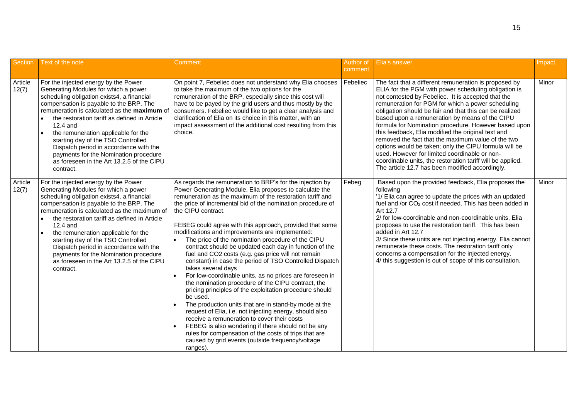| <b>Section</b>   | Text of the note                                                                                                                                                                                                                                                                                                                                                                                                                                                                                                                      | Comment                                                                                                                                                                                                                                                                                                                                                                                                                                                                                                                                                                                                                                                                                                                                                                                                                                                                                                                                                                                                                                                                                                                                                                                            | Author of<br>comment | <b>Elia's answer</b>                                                                                                                                                                                                                                                                                                                                                                                                                                                                                                                                                                                                                                                                                                                 | Impact |
|------------------|---------------------------------------------------------------------------------------------------------------------------------------------------------------------------------------------------------------------------------------------------------------------------------------------------------------------------------------------------------------------------------------------------------------------------------------------------------------------------------------------------------------------------------------|----------------------------------------------------------------------------------------------------------------------------------------------------------------------------------------------------------------------------------------------------------------------------------------------------------------------------------------------------------------------------------------------------------------------------------------------------------------------------------------------------------------------------------------------------------------------------------------------------------------------------------------------------------------------------------------------------------------------------------------------------------------------------------------------------------------------------------------------------------------------------------------------------------------------------------------------------------------------------------------------------------------------------------------------------------------------------------------------------------------------------------------------------------------------------------------------------|----------------------|--------------------------------------------------------------------------------------------------------------------------------------------------------------------------------------------------------------------------------------------------------------------------------------------------------------------------------------------------------------------------------------------------------------------------------------------------------------------------------------------------------------------------------------------------------------------------------------------------------------------------------------------------------------------------------------------------------------------------------------|--------|
| Article<br>12(7) | For the injected energy by the Power<br>Generating Modules for which a power<br>scheduling obligation exists4, a financial<br>compensation is payable to the BRP. The<br>remuneration is calculated as the maximum of<br>the restoration tariff as defined in Article<br>$\bullet$<br>12.4 and<br>the remuneration applicable for the<br>$\bullet$<br>starting day of the TSO Controlled<br>Dispatch period in accordance with the<br>payments for the Nomination procedure<br>as foreseen in the Art 13.2.5 of the CIPU<br>contract. | On point 7, Febeliec does not understand why Elia chooses<br>to take the maximum of the two options for the<br>remuneration of the BRP, especially since this cost will<br>have to be payed by the grid users and thus mostly by the<br>consumers. Febeliec would like to get a clear analysis and<br>clarification of Elia on its choice in this matter, with an<br>impact assessment of the additional cost resulting from this<br>choice.                                                                                                                                                                                                                                                                                                                                                                                                                                                                                                                                                                                                                                                                                                                                                       | Febeliec             | The fact that a different remuneration is proposed by<br>ELIA for the PGM with power scheduling obligation is<br>not contested by Febeliec. It is accepted that the<br>remuneration for PGM for which a power scheduling<br>obligation should be fair and that this can be realized<br>based upon a remuneration by means of the CIPU<br>formula for Nomination procedure. However based upon<br>this feedback, Elia modified the original text and<br>removed the fact that the maximum value of the two<br>options would be taken; only the CIPU formula will be<br>used. However for limited coordinable or non-<br>coordinable units, the restoration tariff will be applied.<br>The article 12.7 has been modified accordingly. | Minor  |
| Article<br>12(7) | For the injected energy by the Power<br>Generating Modules for which a power<br>scheduling obligation exists4, a financial<br>compensation is payable to the BRP. The<br>remuneration is calculated as the maximum of<br>the restoration tariff as defined in Article<br>12.4 and<br>the remuneration applicable for the<br>$\bullet$<br>starting day of the TSO Controlled<br>Dispatch period in accordance with the<br>payments for the Nomination procedure<br>as foreseen in the Art 13.2.5 of the CIPU<br>contract.              | As regards the remuneration to BRP's for the injection by<br>Power Generating Module, Elia proposes to calculate the<br>remuneration as the maximum of the restoration tariff and<br>the price of incremental bid of the nomination procedure of<br>the CIPU contract.<br>FEBEG could agree with this approach, provided that some<br>modifications and improvements are implemented:<br>The price of the nomination procedure of the CIPU<br>$\bullet$<br>contract should be updated each day in function of the<br>fuel and CO2 costs (e.g. gas price will not remain<br>constant) in case the period of TSO Controlled Dispatch<br>takes several days<br>For low-coordinable units, as no prices are foreseen in<br>the nomination procedure of the CIPU contract, the<br>pricing principles of the exploitation procedure should<br>be used.<br>The production units that are in stand-by mode at the<br>request of Elia, i.e. not injecting energy, should also<br>receive a remuneration to cover their costs<br>FEBEG is also wondering if there should not be any<br>rules for compensation of the costs of trips that are<br>caused by grid events (outside frequency/voltage<br>ranges). | Febeg                | Based upon the provided feedback, Elia proposes the<br>following<br>'1/ Elia can agree to update the prices with an updated<br>fuel and /or $CO2$ cost if needed. This has been added in<br>Art 12.7<br>2/ for low-coordinable and non-coordinable units, Elia<br>proposes to use the restoration tariff. This has been<br>added in Art 12.7<br>3/ Since these units are not injecting energy, Elia cannot<br>remunerate these costs. The restoration tariff only<br>concerns a compensation for the injected energy.<br>4/ this suggestion is out of scope of this consultation.                                                                                                                                                    | Minor  |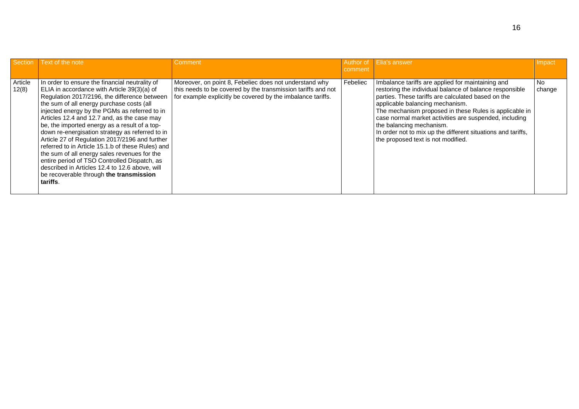| Section          | Text of the note                                                                                                                                                                                                                                                                                                                                                                                                                                                                                                                                                                                                                                                                                               | <b>Comment</b>                                                                                                                                                                        | comment  | Author of Elia's answer                                                                                                                                                                                                                                                                                                                                                                                                                                     | Impact        |
|------------------|----------------------------------------------------------------------------------------------------------------------------------------------------------------------------------------------------------------------------------------------------------------------------------------------------------------------------------------------------------------------------------------------------------------------------------------------------------------------------------------------------------------------------------------------------------------------------------------------------------------------------------------------------------------------------------------------------------------|---------------------------------------------------------------------------------------------------------------------------------------------------------------------------------------|----------|-------------------------------------------------------------------------------------------------------------------------------------------------------------------------------------------------------------------------------------------------------------------------------------------------------------------------------------------------------------------------------------------------------------------------------------------------------------|---------------|
|                  |                                                                                                                                                                                                                                                                                                                                                                                                                                                                                                                                                                                                                                                                                                                |                                                                                                                                                                                       |          |                                                                                                                                                                                                                                                                                                                                                                                                                                                             |               |
| Article<br>12(8) | In order to ensure the financial neutrality of<br>ELIA in accordance with Article 39(3)(a) of<br>Regulation 2017/2196, the difference between<br>the sum of all energy purchase costs (all<br>injected energy by the PGMs as referred to in<br>Articles 12.4 and 12.7 and, as the case may<br>be, the imported energy as a result of a top-<br>down re-energisation strategy as referred to in<br>Article 27 of Regulation 2017/2196 and further<br>referred to in Article 15.1.b of these Rules) and<br>the sum of all energy sales revenues for the<br>entire period of TSO Controlled Dispatch, as<br>described in Articles 12.4 to 12.6 above, will<br>be recoverable through the transmission<br>tariffs. | Moreover, on point 8, Febeliec does not understand why<br>this needs to be covered by the transmission tariffs and not<br>for example explicitly be covered by the imbalance tariffs. | Febeliec | Imbalance tariffs are applied for maintaining and<br>restoring the individual balance of balance responsible<br>parties. These tariffs are calculated based on the<br>applicable balancing mechanism.<br>The mechanism proposed in these Rules is applicable in<br>case normal market activities are suspended, including<br>the balancing mechanism.<br>In order not to mix up the different situations and tariffs,<br>the proposed text is not modified. | No.<br>change |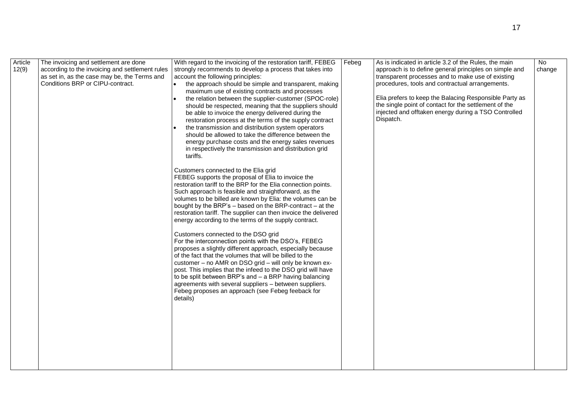| Article<br>12(9) | The invoicing and settlement are done<br>according to the invoicing and settlement rules<br>as set in, as the case may be, the Terms and<br>Conditions BRP or CIPU-contract. | With regard to the invoicing of the restoration tariff, FEBEG<br>strongly recommends to develop a process that takes into<br>account the following principles:<br>the approach should be simple and transparent, making<br>maximum use of existing contracts and processes<br>the relation between the supplier-customer (SPOC-role)<br>should be respected, meaning that the suppliers should<br>be able to invoice the energy delivered during the<br>restoration process at the terms of the supply contract<br>the transmission and distribution system operators<br>should be allowed to take the difference between the<br>energy purchase costs and the energy sales revenues<br>in respectively the transmission and distribution grid<br>tariffs.<br>Customers connected to the Elia grid<br>FEBEG supports the proposal of Elia to invoice the<br>restoration tariff to the BRP for the Elia connection points.<br>Such approach is feasible and straightforward, as the<br>volumes to be billed are known by Elia: the volumes can be<br>bought by the BRP's - based on the BRP-contract - at the<br>restoration tariff. The supplier can then invoice the delivered<br>energy according to the terms of the supply contract.<br>Customers connected to the DSO grid<br>For the interconnection points with the DSO's, FEBEG<br>proposes a slightly different approach, especially because<br>of the fact that the volumes that will be billed to the<br>customer - no AMR on DSO grid - will only be known ex-<br>post. This implies that the infeed to the DSO grid will have<br>to be split between BRP's and $-$ a BRP having balancing<br>agreements with several suppliers - between suppliers.<br>Febeg proposes an approach (see Febeg feeback for<br>details) | Febeg | As is indicated in article 3.2 of the Rules, the main<br>approach is to define general principles on simple and<br>transparent processes and to make use of existing<br>procedures, tools and contractual arrangements.<br>Elia prefers to keep the Balacing Responsible Party as<br>the single point of contact for the settlement of the<br>injected and offtaken energy during a TSO Controlled<br>Dispatch. | <b>No</b><br>change |
|------------------|------------------------------------------------------------------------------------------------------------------------------------------------------------------------------|-----------------------------------------------------------------------------------------------------------------------------------------------------------------------------------------------------------------------------------------------------------------------------------------------------------------------------------------------------------------------------------------------------------------------------------------------------------------------------------------------------------------------------------------------------------------------------------------------------------------------------------------------------------------------------------------------------------------------------------------------------------------------------------------------------------------------------------------------------------------------------------------------------------------------------------------------------------------------------------------------------------------------------------------------------------------------------------------------------------------------------------------------------------------------------------------------------------------------------------------------------------------------------------------------------------------------------------------------------------------------------------------------------------------------------------------------------------------------------------------------------------------------------------------------------------------------------------------------------------------------------------------------------------------------------------------------------------------------------------------------------------------------------------|-------|-----------------------------------------------------------------------------------------------------------------------------------------------------------------------------------------------------------------------------------------------------------------------------------------------------------------------------------------------------------------------------------------------------------------|---------------------|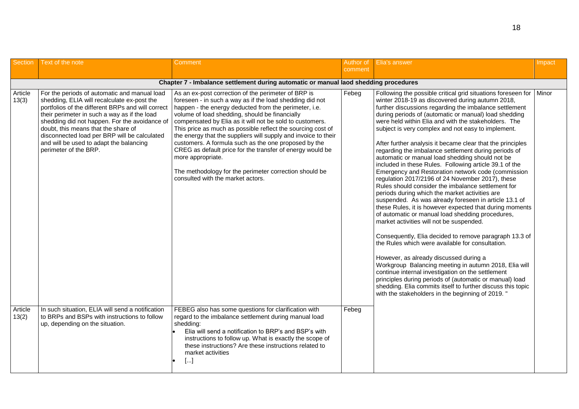| <b>Section</b>   | Text of the note                                                                                                                                                                                                                                                                                                                                                                                             | Comment                                                                                                                                                                                                                                                                                                                                                                                                                                                                                                                                                                                                                                                          | Author of<br>comment | Elia's answer                                                                                                                                                                                                                                                                                                                                                                                                                                                                                                                                                                                                                                                                                                                                                                                                                                                                                                                                                                                                                                                                                                                                                                                                                                                                                                                                                                                                                                                                   | Impact |  |  |  |  |  |
|------------------|--------------------------------------------------------------------------------------------------------------------------------------------------------------------------------------------------------------------------------------------------------------------------------------------------------------------------------------------------------------------------------------------------------------|------------------------------------------------------------------------------------------------------------------------------------------------------------------------------------------------------------------------------------------------------------------------------------------------------------------------------------------------------------------------------------------------------------------------------------------------------------------------------------------------------------------------------------------------------------------------------------------------------------------------------------------------------------------|----------------------|---------------------------------------------------------------------------------------------------------------------------------------------------------------------------------------------------------------------------------------------------------------------------------------------------------------------------------------------------------------------------------------------------------------------------------------------------------------------------------------------------------------------------------------------------------------------------------------------------------------------------------------------------------------------------------------------------------------------------------------------------------------------------------------------------------------------------------------------------------------------------------------------------------------------------------------------------------------------------------------------------------------------------------------------------------------------------------------------------------------------------------------------------------------------------------------------------------------------------------------------------------------------------------------------------------------------------------------------------------------------------------------------------------------------------------------------------------------------------------|--------|--|--|--|--|--|
|                  |                                                                                                                                                                                                                                                                                                                                                                                                              |                                                                                                                                                                                                                                                                                                                                                                                                                                                                                                                                                                                                                                                                  |                      |                                                                                                                                                                                                                                                                                                                                                                                                                                                                                                                                                                                                                                                                                                                                                                                                                                                                                                                                                                                                                                                                                                                                                                                                                                                                                                                                                                                                                                                                                 |        |  |  |  |  |  |
|                  | Chapter 7 - Imbalance settlement during automatic or manual laod shedding procedures                                                                                                                                                                                                                                                                                                                         |                                                                                                                                                                                                                                                                                                                                                                                                                                                                                                                                                                                                                                                                  |                      |                                                                                                                                                                                                                                                                                                                                                                                                                                                                                                                                                                                                                                                                                                                                                                                                                                                                                                                                                                                                                                                                                                                                                                                                                                                                                                                                                                                                                                                                                 |        |  |  |  |  |  |
| Article<br>13(3) | For the periods of automatic and manual load<br>shedding, ELIA will recalculate ex-post the<br>portfolios of the different BRPs and will correct<br>their perimeter in such a way as if the load<br>shedding did not happen. For the avoidance of<br>doubt, this means that the share of<br>disconnected load per BRP will be calculated<br>and will be used to adapt the balancing<br>perimeter of the BRP. | As an ex-post correction of the perimeter of BRP is<br>foreseen - in such a way as if the load shedding did not<br>happen - the energy deducted from the perimeter, i.e.<br>volume of load shedding, should be financially<br>compensated by Elia as it will not be sold to customers.<br>This price as much as possible reflect the sourcing cost of<br>the energy that the suppliers will supply and invoice to their<br>customers. A formula such as the one proposed by the<br>CREG as default price for the transfer of energy would be<br>more appropriate.<br>The methodology for the perimeter correction should be<br>consulted with the market actors. | Febeg                | Following the possible critical grid situations foreseen for<br>winter 2018-19 as discovered during autumn 2018,<br>further discussions regarding the imbalance settlement<br>during periods of (automatic or manual) load shedding<br>were held within Elia and with the stakeholders. The<br>subject is very complex and not easy to implement.<br>After further analysis it became clear that the principles<br>regarding the imbalance settlement during periods of<br>automatic or manual load shedding should not be<br>included in these Rules. Following article 39.1 of the<br>Emergency and Restoration network code (commission<br>regulation 2017/2196 of 24 November 2017), these<br>Rules should consider the imbalance settlement for<br>periods during which the market activities are<br>suspended. As was already foreseen in article 13.1 of<br>these Rules, it is however expected that during moments<br>of automatic or manual load shedding procedures,<br>market activities will not be suspended.<br>Consequently, Elia decided to remove paragraph 13.3 of<br>the Rules which were available for consultation.<br>However, as already discussed during a<br>Workgroup Balancing meeting in autumn 2018, Elia will<br>continue internal investigation on the settlement<br>principles during periods of (automatic or manual) load<br>shedding. Elia commits itself to further discuss this topic<br>with the stakeholders in the beginning of 2019. " | Minor  |  |  |  |  |  |
| Article<br>13(2) | In such situation, ELIA will send a notification<br>to BRPs and BSPs with instructions to follow<br>up, depending on the situation.                                                                                                                                                                                                                                                                          | FEBEG also has some questions for clarification with<br>regard to the imbalance settlement during manual load<br>shedding:<br>Elia will send a notification to BRP's and BSP's with<br>instructions to follow up. What is exactly the scope of<br>these instructions? Are these instructions related to<br>market activities<br>$[]$                                                                                                                                                                                                                                                                                                                             | Febeg                |                                                                                                                                                                                                                                                                                                                                                                                                                                                                                                                                                                                                                                                                                                                                                                                                                                                                                                                                                                                                                                                                                                                                                                                                                                                                                                                                                                                                                                                                                 |        |  |  |  |  |  |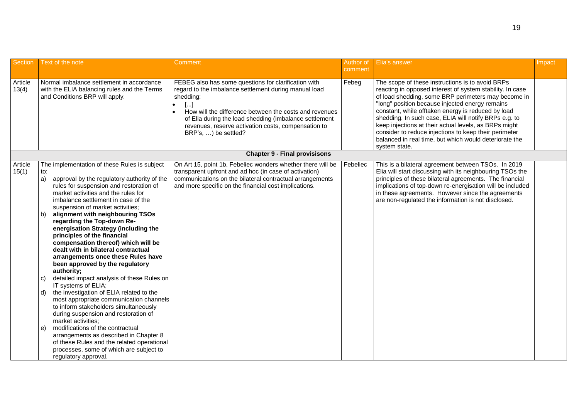| <b>Section</b>   | Text of the note                                                                                                                                                                                                                                                                                                                                                                                                                                                                                                                                                                                                                                                                                                                                                                                                                                                                                                                                                                                                                                                              | Comment                                                                                                                                                                                                                                                                                                                              | Author of<br>comment | Elia's answer                                                                                                                                                                                                                                                                                                                                                                                                                                                                                                                       | Impact |
|------------------|-------------------------------------------------------------------------------------------------------------------------------------------------------------------------------------------------------------------------------------------------------------------------------------------------------------------------------------------------------------------------------------------------------------------------------------------------------------------------------------------------------------------------------------------------------------------------------------------------------------------------------------------------------------------------------------------------------------------------------------------------------------------------------------------------------------------------------------------------------------------------------------------------------------------------------------------------------------------------------------------------------------------------------------------------------------------------------|--------------------------------------------------------------------------------------------------------------------------------------------------------------------------------------------------------------------------------------------------------------------------------------------------------------------------------------|----------------------|-------------------------------------------------------------------------------------------------------------------------------------------------------------------------------------------------------------------------------------------------------------------------------------------------------------------------------------------------------------------------------------------------------------------------------------------------------------------------------------------------------------------------------------|--------|
| Article<br>13(4) | Normal imbalance settlement in accordance<br>with the ELIA balancing rules and the Terms<br>and Conditions BRP will apply.                                                                                                                                                                                                                                                                                                                                                                                                                                                                                                                                                                                                                                                                                                                                                                                                                                                                                                                                                    | FEBEG also has some questions for clarification with<br>regard to the imbalance settlement during manual load<br>shedding:<br>[…]<br>How will the difference between the costs and revenues<br>of Elia during the load shedding (imbalance settlement<br>revenues, reserve activation costs, compensation to<br>BRP's, ) be settled? | Febeg                | The scope of these instructions is to avoid BRPs<br>reacting in opposed interest of system stability. In case<br>of load shedding, some BRP perimeters may become in<br>"long" position because injected energy remains<br>constant, while offtaken energy is reduced by load<br>shedding. In such case, ELIA will notify BRPs e.g. to<br>keep injections at their actual levels, as BRPs might<br>consider to reduce injections to keep their perimeter<br>balanced in real time, but which would deteriorate the<br>system state. |        |
|                  |                                                                                                                                                                                                                                                                                                                                                                                                                                                                                                                                                                                                                                                                                                                                                                                                                                                                                                                                                                                                                                                                               | <b>Chapter 9 - Final provisisons</b>                                                                                                                                                                                                                                                                                                 |                      |                                                                                                                                                                                                                                                                                                                                                                                                                                                                                                                                     |        |
| Article<br>15(1) | The implementation of these Rules is subject<br>to:<br>approval by the regulatory authority of the<br>a)<br>rules for suspension and restoration of<br>market activities and the rules for<br>imbalance settlement in case of the<br>suspension of market activities;<br>alignment with neighbouring TSOs<br>b)<br>regarding the Top-down Re-<br>energisation Strategy (including the<br>principles of the financial<br>compensation thereof) which will be<br>dealt with in bilateral contractual<br>arrangements once these Rules have<br>been approved by the regulatory<br>authority;<br>detailed impact analysis of these Rules on<br>C)<br>IT systems of ELIA;<br>the investigation of ELIA related to the<br>d)<br>most appropriate communication channels<br>to inform stakeholders simultaneously<br>during suspension and restoration of<br>market activities;<br>modifications of the contractual<br>e)<br>arrangements as described in Chapter 8<br>of these Rules and the related operational<br>processes, some of which are subject to<br>regulatory approval. | On Art 15, point 1b, Febeliec wonders whether there will be<br>transparent upfront and ad hoc (in case of activation)<br>communications on the bilateral contractual arrangements<br>and more specific on the financial cost implications.                                                                                           | Febeliec             | This is a bilateral agreement between TSOs. In 2019<br>Elia will start discussing with its neighbouring TSOs the<br>principles of these bilateral agreements. The financial<br>implications of top-down re-energisation will be included<br>in these agreements. However since the agreements<br>are non-regulated the information is not disclosed.                                                                                                                                                                                |        |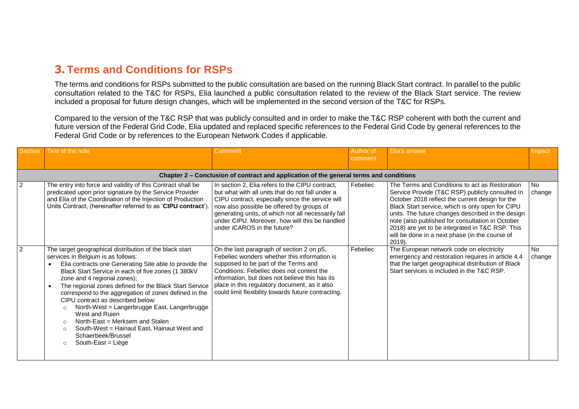#### **3. Terms and Conditions for RSPs**

The terms and conditions for RSPs submitted to the public consultation are based on the running Black Start contract. In parallel to the public consultation related to the T&C for RSPs, Elia launched a public consultation related to the review of the Black Start service. The review included a proposal for future design changes, which will be implemented in the second version of the T&C for RSPs.

Compared to the version of the T&C RSP that was publicly consulted and in order to make the T&C RSP coherent with both the current and future version of the Federal Grid Code, Elia updated and replaced specific references to the Federal Grid Code by general references to the Federal Grid Code or by references to the European Network Codes if applicable.

| Section        | Text of the note                                                                                                                                                                                                                                                                                                                                                                                                                                                                                                                                                                                                                                                  | Comment                                                                                                                                                                                                                                                                                                                                      | Author of<br>comment | Elia's answer                                                                                                                                                                                                                                                                                                                                                                                                                       | Impact              |
|----------------|-------------------------------------------------------------------------------------------------------------------------------------------------------------------------------------------------------------------------------------------------------------------------------------------------------------------------------------------------------------------------------------------------------------------------------------------------------------------------------------------------------------------------------------------------------------------------------------------------------------------------------------------------------------------|----------------------------------------------------------------------------------------------------------------------------------------------------------------------------------------------------------------------------------------------------------------------------------------------------------------------------------------------|----------------------|-------------------------------------------------------------------------------------------------------------------------------------------------------------------------------------------------------------------------------------------------------------------------------------------------------------------------------------------------------------------------------------------------------------------------------------|---------------------|
|                |                                                                                                                                                                                                                                                                                                                                                                                                                                                                                                                                                                                                                                                                   | Chapter 2 – Conclusion of contract and application of the general terms and conditions                                                                                                                                                                                                                                                       |                      |                                                                                                                                                                                                                                                                                                                                                                                                                                     |                     |
| $\overline{2}$ | The entry into force and validity of this Contract shall be<br>predicated upon prior signature by the Service Provider<br>and Elia of the Coordination of the Injection of Production<br>Units Contract, (hereinafter referred to as 'CIPU contract').                                                                                                                                                                                                                                                                                                                                                                                                            | In section 2, Elia refers to the CIPU contract,<br>but what with all units that do not fall under a<br>CIPU contract, especially since the service will<br>now also possible be offered by groups of<br>generating units, of which not all necessarily fall<br>under CIPU. Moreover, how will this be handled<br>under iCAROS in the future? | Febeliec             | The Terms and Conditions to act as Restoration<br>Service Provide (T&C RSP) publicly consulted in<br>October 2018 reflect the current design for the<br>Black Start service, which is only open for CIPU<br>units. The future changes described in the design<br>note (also published for consultation in October<br>2018) are yet to be integrated in T&C RSP. This<br>will be done in a next phase (in the course of<br>$2019$ ). | <b>No</b><br>change |
| $\overline{2}$ | The target geographical distribution of the black start<br>services in Belgium is as follows:<br>Elia contracts one Generating Site able to provide the<br>Black Start Service in each of five zones (1 380kV<br>zone and 4 regional zones);<br>The regional zones defined for the Black Start Service<br>$\bullet$<br>correspond to the aggregation of zones defined in the<br>CIPU contract as described below:<br>North-West = Langerbrugge East, Langerbrugge<br>$\Omega$<br>West and Ruien<br>North-East = Merksem and Stalen<br>$\Omega$<br>South-West = Hainaut East, Hainaut West and<br>$\Omega$<br>Schaerbeek/Brussel<br>South-East = Liège<br>$\Omega$ | On the last paragraph of section 2 on p5,<br>Febeliec wonders whether this information is<br>supposed to be part of the Terms and<br>Conditions. Febeliec does not contest the<br>information, but does not believe this has its<br>place in this regulatory document, as it also<br>could limit flexibility towards future contracting.     | Febeliec             | The European network code on electricity<br>emergency and restoration requires in article 4.4<br>that the target geographical distribution of Black<br>Start services is included in the T&C RSP.                                                                                                                                                                                                                                   | <b>No</b><br>change |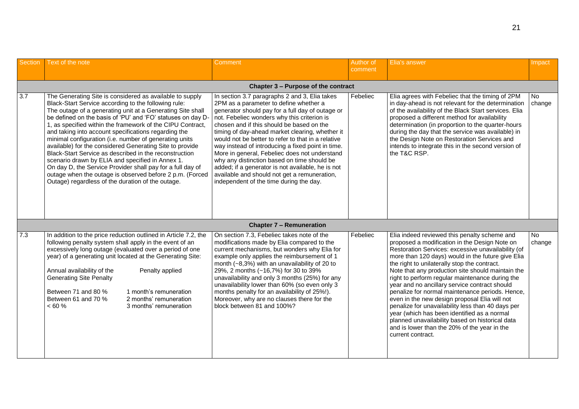| Section          | Text of the note                                                                                                                                                                                                                                                                                                                                                                                      |                                                                                                                                                                                                                                                                                                                                                                              | Comment                                                                                                                                                                                                                                                                                                                                                                                                                                                                                                                                                                                                                                               | Author of<br>comment | Elia's answer                                                                                                                                                                                                                                                                                                                                                                                                                                                                                                                                                                                                                                                                                                                                     | Impact        |  |  |
|------------------|-------------------------------------------------------------------------------------------------------------------------------------------------------------------------------------------------------------------------------------------------------------------------------------------------------------------------------------------------------------------------------------------------------|------------------------------------------------------------------------------------------------------------------------------------------------------------------------------------------------------------------------------------------------------------------------------------------------------------------------------------------------------------------------------|-------------------------------------------------------------------------------------------------------------------------------------------------------------------------------------------------------------------------------------------------------------------------------------------------------------------------------------------------------------------------------------------------------------------------------------------------------------------------------------------------------------------------------------------------------------------------------------------------------------------------------------------------------|----------------------|---------------------------------------------------------------------------------------------------------------------------------------------------------------------------------------------------------------------------------------------------------------------------------------------------------------------------------------------------------------------------------------------------------------------------------------------------------------------------------------------------------------------------------------------------------------------------------------------------------------------------------------------------------------------------------------------------------------------------------------------------|---------------|--|--|
|                  | Chapter 3 - Purpose of the contract                                                                                                                                                                                                                                                                                                                                                                   |                                                                                                                                                                                                                                                                                                                                                                              |                                                                                                                                                                                                                                                                                                                                                                                                                                                                                                                                                                                                                                                       |                      |                                                                                                                                                                                                                                                                                                                                                                                                                                                                                                                                                                                                                                                                                                                                                   |               |  |  |
| $\overline{3.7}$ | Black-Start Service according to the following rule:<br>and taking into account specifications regarding the<br>minimal configuration (i.e. number of generating units<br>available) for the considered Generating Site to provide<br>Black-Start Service as described in the reconstruction<br>scenario drawn by ELIA and specified in Annex 1.<br>Outage) regardless of the duration of the outage. | The Generating Site is considered as available to supply<br>The outage of a generating unit at a Generating Site shall<br>be defined on the basis of 'PU' and 'FO' statuses on day D<br>1, as specified within the framework of the CIPU Contract,<br>On day D, the Service Provider shall pay for a full day of<br>outage when the outage is observed before 2 p.m. (Forced | In section 3.7 paragraphs 2 and 3, Elia takes<br>2PM as a parameter to define whether a<br>generator should pay for a full day of outage or<br>not. Febeliec wonders why this criterion is<br>chosen and if this should be based on the<br>timing of day-ahead market clearing, whether it<br>would not be better to refer to that in a relative<br>way instead of introducing a fixed point in time.<br>More in general, Febeliec does not understand<br>why any distinction based on time should be<br>added; if a generator is not available, he is not<br>available and should not get a remuneration,<br>independent of the time during the day. | Febeliec             | Elia agrees with Febeliec that the timing of 2PM<br>in day-ahead is not relevant for the determination<br>of the availability of the Black Start services. Elia<br>proposed a different method for availability<br>determination (in proportion to the quarter-hours<br>during the day that the service was available) in<br>the Design Note on Restoration Services and<br>intends to integrate this in the second version of<br>the T&C RSP.                                                                                                                                                                                                                                                                                                    | No.<br>change |  |  |
|                  |                                                                                                                                                                                                                                                                                                                                                                                                       |                                                                                                                                                                                                                                                                                                                                                                              | <b>Chapter 7 - Remuneration</b>                                                                                                                                                                                                                                                                                                                                                                                                                                                                                                                                                                                                                       |                      |                                                                                                                                                                                                                                                                                                                                                                                                                                                                                                                                                                                                                                                                                                                                                   |               |  |  |
| 7.3              | following penalty system shall apply in the event of an<br>Annual availability of the<br><b>Generating Site Penalty</b><br>Between 71 and 80 %<br>Between 61 and 70 %<br>< 60 %                                                                                                                                                                                                                       | In addition to the price reduction outlined in Article 7.2, the<br>excessively long outage (evaluated over a period of one<br>year) of a generating unit located at the Generating Site:<br>Penalty applied<br>1 month's remuneration<br>2 months' remuneration<br>3 months' remuneration                                                                                    | On section 7.3, Febeliec takes note of the<br>modifications made by Elia compared to the<br>current mechanisms, but wonders why Elia for<br>example only applies the reimbursement of 1<br>month $(-8,3%)$ with an unavailability of 20 to<br>29%, 2 months (~16,7%) for 30 to 39%<br>unavailability and only 3 months (25%) for any<br>unavailability lower than 60% (so even only 3<br>months penalty for an availability of 25%!).<br>Moreover, why are no clauses there for the<br>block between 81 and 100%?                                                                                                                                     | Febeliec             | Elia indeed reviewed this penalty scheme and<br>proposed a modification in the Design Note on<br>Restoration Services: excessive unavailability (of<br>more than 120 days) would in the future give Elia<br>the right to unilaterally stop the contract.<br>Note that any production site should maintain the<br>right to perform regular maintenance during the<br>year and no ancillary service contract should<br>penalize for normal maintenance periods. Hence,<br>even in the new design proposal Elia will not<br>penalize for unavailability less than 40 days per<br>year (which has been identified as a normal<br>planned unavailability based on historical data<br>and is lower than the 20% of the year in the<br>current contract. | No.<br>change |  |  |